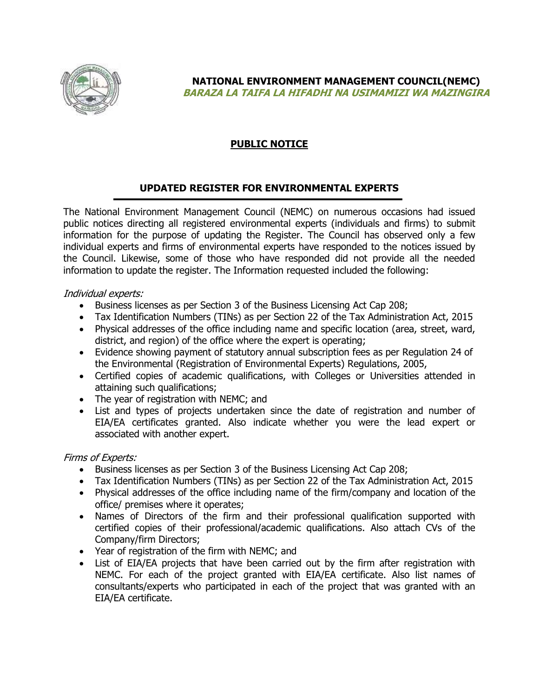

**NATIONAL ENVIRONMENT MANAGEMENT COUNCIL(NEMC) BARAZA LA TAIFA LA HIFADHI NA USIMAMIZI WA MAZINGIRA**

# **PUBLIC NOTICE**

### **UPDATED REGISTER FOR ENVIRONMENTAL EXPERTS**

The National Environment Management Council (NEMC) on numerous occasions had issued public notices directing all registered environmental experts (individuals and firms) to submit information for the purpose of updating the Register. The Council has observed only a few individual experts and firms of environmental experts have responded to the notices issued by the Council. Likewise, some of those who have responded did not provide all the needed information to update the register. The Information requested included the following:

### Individual experts:

- Business licenses as per Section 3 of the Business Licensing Act Cap 208;
- Tax Identification Numbers (TINs) as per Section 22 of the Tax Administration Act, 2015
- Physical addresses of the office including name and specific location (area, street, ward, district, and region) of the office where the expert is operating;
- Evidence showing payment of statutory annual subscription fees as per Regulation 24 of the Environmental (Registration of Environmental Experts) Regulations, 2005,
- Certified copies of academic qualifications, with Colleges or Universities attended in attaining such qualifications;
- The year of registration with NEMC; and
- List and types of projects undertaken since the date of registration and number of EIA/EA certificates granted. Also indicate whether you were the lead expert or associated with another expert.

### Firms of Experts:

- Business licenses as per Section 3 of the Business Licensing Act Cap 208;
- Tax Identification Numbers (TINs) as per Section 22 of the Tax Administration Act, 2015
- Physical addresses of the office including name of the firm/company and location of the office/ premises where it operates;
- Names of Directors of the firm and their professional qualification supported with certified copies of their professional/academic qualifications. Also attach CVs of the Company/firm Directors;
- Year of registration of the firm with NEMC; and
- List of EIA/EA projects that have been carried out by the firm after registration with NEMC. For each of the project granted with EIA/EA certificate. Also list names of consultants/experts who participated in each of the project that was granted with an EIA/EA certificate.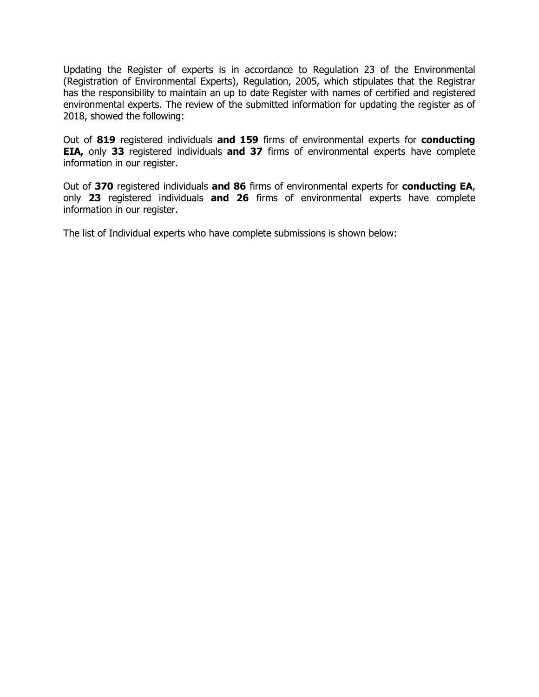Updating the Register of experts is in accordance to Regulation 23 of the Environmental (Registration of Environmental Experts), Regulation, 2005, which stipulates that the Registrar has the responsibility to maintain an up to date Register with names of certified and registered environmental experts. The review of the submitted information for updating the register as of 2018, showed the following:

Out of **819** registered individuals **and 159** firms of environmental experts for **conducting EIA,** only **33** registered individuals **and 37** firms of environmental experts have complete information in our register.

Out of **370** registered individuals **and 86** firms of environmental experts for **conducting EA**, only **23** registered individuals **and 26** firms of environmental experts have complete information in our register.

The list of Individual experts who have complete submissions is shown below: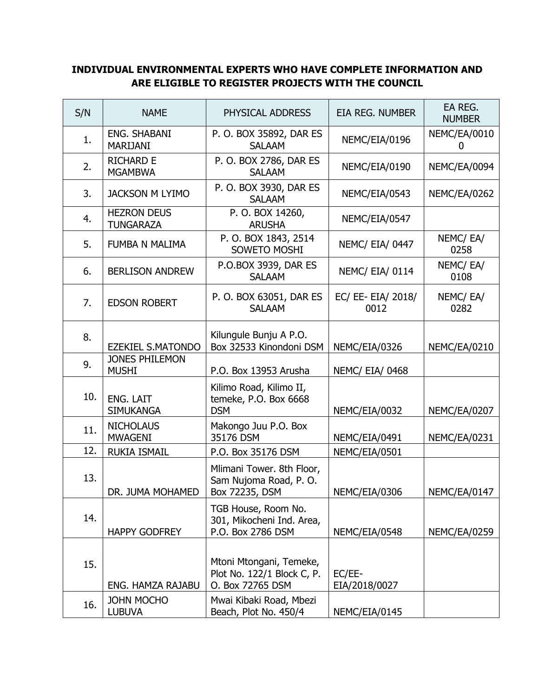## **INDIVIDUAL ENVIRONMENTAL EXPERTS WHO HAVE COMPLETE INFORMATION AND ARE ELIGIBLE TO REGISTER PROJECTS WITH THE COUNCIL**

| S/N | <b>NAME</b>                            | PHYSICAL ADDRESS                                                          | EIA REG. NUMBER            | EA REG.<br><b>NUMBER</b> |
|-----|----------------------------------------|---------------------------------------------------------------------------|----------------------------|--------------------------|
| 1.  | <b>ENG. SHABANI</b><br><b>MARIJANI</b> | P. O. BOX 35892, DAR ES<br><b>SALAAM</b>                                  | NEMC/EIA/0196              | NEMC/EA/0010<br>0        |
| 2.  | <b>RICHARD E</b><br><b>MGAMBWA</b>     | P. O. BOX 2786, DAR ES<br><b>SALAAM</b>                                   | NEMC/EIA/0190              | NEMC/EA/0094             |
| 3.  | <b>JACKSON M LYIMO</b>                 | P. O. BOX 3930, DAR ES<br><b>SALAAM</b>                                   | NEMC/EIA/0543              | NEMC/EA/0262             |
| 4.  | <b>HEZRON DEUS</b><br><b>TUNGARAZA</b> | P. O. BOX 14260,<br><b>ARUSHA</b>                                         | NEMC/EIA/0547              |                          |
| 5.  | FUMBA N MALIMA                         | P. O. BOX 1843, 2514<br>SOWETO MOSHI                                      | <b>NEMC/ EIA/ 0447</b>     | NEMC/EA/<br>0258         |
| 6.  | <b>BERLISON ANDREW</b>                 | P.O.BOX 3939, DAR ES<br><b>SALAAM</b>                                     | <b>NEMC/ EIA/ 0114</b>     | NEMC/EA/<br>0108         |
| 7.  | <b>EDSON ROBERT</b>                    | P. O. BOX 63051, DAR ES<br><b>SALAAM</b>                                  | EC/ EE- EIA/ 2018/<br>0012 | NEMC/EA/<br>0282         |
| 8.  | <b>EZEKIEL S.MATONDO</b>               | Kilungule Bunju A P.O.<br>Box 32533 Kinondoni DSM                         | NEMC/EIA/0326              | NEMC/EA/0210             |
| 9.  | <b>JONES PHILEMON</b><br><b>MUSHI</b>  | P.O. Box 13953 Arusha                                                     | <b>NEMC/ EIA/ 0468</b>     |                          |
| 10. | <b>ENG. LAIT</b><br><b>SIMUKANGA</b>   | Kilimo Road, Kilimo II,<br>temeke, P.O. Box 6668<br><b>DSM</b>            | NEMC/EIA/0032              | NEMC/EA/0207             |
| 11. | <b>NICHOLAUS</b><br><b>MWAGENI</b>     | Makongo Juu P.O. Box<br>35176 DSM                                         | NEMC/EIA/0491              | NEMC/EA/0231             |
| 12. | <b>RUKIA ISMAIL</b>                    | P.O. Box 35176 DSM                                                        | NEMC/EIA/0501              |                          |
| 13. | DR. JUMA MOHAMED                       | Mlimani Tower. 8th Floor,<br>Sam Nujoma Road, P.O.<br>Box 72235, DSM      | NEMC/EIA/0306              | NEMC/EA/0147             |
| 14. | <b>HAPPY GODFREY</b>                   | TGB House, Room No.<br>301, Mikocheni Ind. Area,<br>P.O. Box 2786 DSM     | NEMC/EIA/0548              | <b>NEMC/EA/0259</b>      |
| 15. | <b>ENG. HAMZA RAJABU</b>               | Mtoni Mtongani, Temeke,<br>Plot No. 122/1 Block C, P.<br>O. Box 72765 DSM | EC/EE-<br>EIA/2018/0027    |                          |
| 16. | <b>JOHN MOCHO</b><br><b>LUBUVA</b>     | Mwai Kibaki Road, Mbezi<br>Beach, Plot No. 450/4                          | NEMC/EIA/0145              |                          |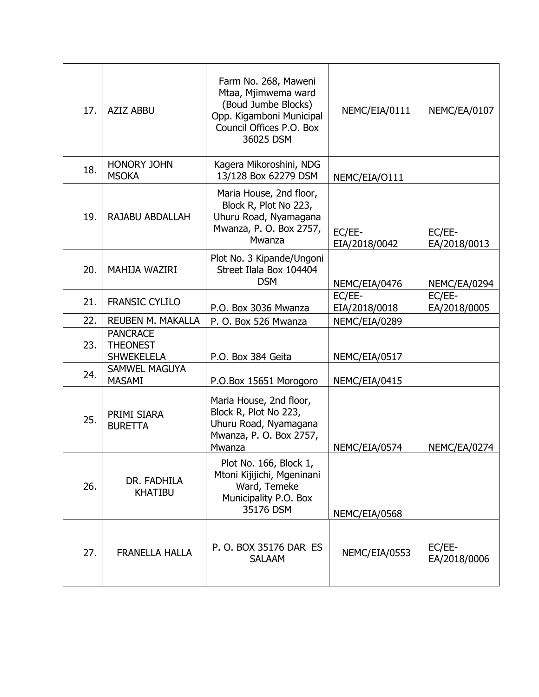| 17. | <b>AZIZ ABBU</b>                                        | Farm No. 268, Maweni<br>Mtaa, Mjimwema ward<br>(Boud Jumbe Blocks)<br>Opp. Kigamboni Municipal<br>Council Offices P.O. Box<br>36025 DSM | NEMC/EIA/0111           | NEMC/EA/0107           |
|-----|---------------------------------------------------------|-----------------------------------------------------------------------------------------------------------------------------------------|-------------------------|------------------------|
| 18. | <b>HONORY JOHN</b><br><b>MSOKA</b>                      | Kagera Mikoroshini, NDG<br>13/128 Box 62279 DSM                                                                                         | NEMC/EIA/0111           |                        |
| 19. | RAJABU ABDALLAH                                         | Maria House, 2nd floor,<br>Block R, Plot No 223,<br>Uhuru Road, Nyamagana<br>Mwanza, P. O. Box 2757,<br>Mwanza                          | EC/EE-<br>EIA/2018/0042 | EC/EE-<br>EA/2018/0013 |
| 20. | <b>MAHIJA WAZIRI</b>                                    | Plot No. 3 Kipande/Ungoni<br>Street Ilala Box 104404<br><b>DSM</b>                                                                      | NEMC/EIA/0476           | NEMC/EA/0294           |
| 21. | <b>FRANSIC CYLILO</b>                                   | P.O. Box 3036 Mwanza                                                                                                                    | EC/EE-<br>EIA/2018/0018 | EC/EE-<br>EA/2018/0005 |
| 22. | <b>REUBEN M. MAKALLA</b>                                | P. O. Box 526 Mwanza                                                                                                                    | NEMC/EIA/0289           |                        |
| 23. | <b>PANCRACE</b><br><b>THEONEST</b><br><b>SHWEKELELA</b> | P.O. Box 384 Geita                                                                                                                      | NEMC/EIA/0517           |                        |
| 24. | SAMWEL MAGUYA<br><b>MASAMI</b>                          | P.O.Box 15651 Morogoro                                                                                                                  | NEMC/EIA/0415           |                        |
| 25. | PRIMI SIARA<br><b>BURETTA</b>                           | Maria House, 2nd floor,<br>Block R, Plot No 223,<br>Uhuru Road, Nyamagana<br>Mwanza, P. O. Box 2757,<br>Mwanza                          | NEMC/EIA/0574           | NEMC/EA/0274           |
| 26. | DR. FADHILA<br><b>KHATIBU</b>                           | Plot No. 166, Block 1,<br>Mtoni Kijijichi, Mgeninani<br>Ward, Temeke<br>Municipality P.O. Box<br>35176 DSM                              | NEMC/EIA/0568           |                        |
| 27. | <b>FRANELLA HALLA</b>                                   | P. O. BOX 35176 DAR ES<br><b>SALAAM</b>                                                                                                 | NEMC/EIA/0553           | EC/EE-<br>EA/2018/0006 |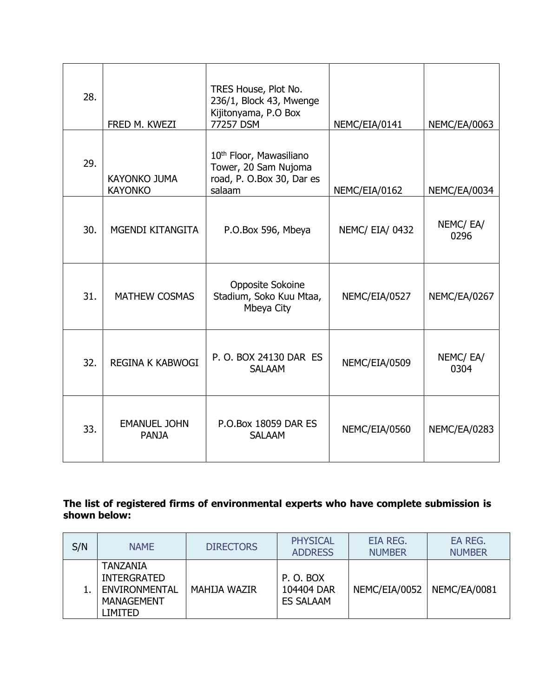| 28. | FRED M. KWEZI                         | TRES House, Plot No.<br>236/1, Block 43, Mwenge<br>Kijitonyama, P.O Box<br>77257 DSM               | NEMC/EIA/0141          | NEMC/EA/0063     |
|-----|---------------------------------------|----------------------------------------------------------------------------------------------------|------------------------|------------------|
| 29. | <b>KAYONKO JUMA</b><br><b>KAYONKO</b> | 10 <sup>th</sup> Floor, Mawasiliano<br>Tower, 20 Sam Nujoma<br>road, P. O.Box 30, Dar es<br>salaam | NEMC/EIA/0162          | NEMC/EA/0034     |
| 30. | MGENDI KITANGITA                      | P.O.Box 596, Mbeya                                                                                 | <b>NEMC/ EIA/ 0432</b> | NEMC/EA/<br>0296 |
| 31. | <b>MATHEW COSMAS</b>                  | Opposite Sokoine<br>Stadium, Soko Kuu Mtaa,<br>Mbeya City                                          | NEMC/EIA/0527          | NEMC/EA/0267     |
| 32. | <b>REGINA K KABWOGI</b>               | P. O. BOX 24130 DAR ES<br><b>SALAAM</b>                                                            | NEMC/EIA/0509          | NEMC/EA/<br>0304 |
| 33. | <b>EMANUEL JOHN</b><br><b>PANJA</b>   | P.O.Box 18059 DAR ES<br><b>SALAAM</b>                                                              | NEMC/EIA/0560          | NEMC/EA/0283     |

### **The list of registered firms of environmental experts who have complete submission is shown below:**

| S/N | <b>NAME</b>                                                                     | <b>DIRECTORS</b> | <b>PHYSICAL</b><br><b>ADDRESS</b>          | EIA REG.<br><b>NUMBER</b> | EA REG.<br><b>NUMBER</b> |
|-----|---------------------------------------------------------------------------------|------------------|--------------------------------------------|---------------------------|--------------------------|
|     | TANZANIA<br><b>INTERGRATED</b><br>ENVIRONMENTAL<br><b>MANAGEMENT</b><br>LIMITED | MAHIJA WAZIR     | P.O. BOX<br>104404 DAR<br><b>ES SALAAM</b> | NEMC/EIA/0052             | NEMC/EA/0081             |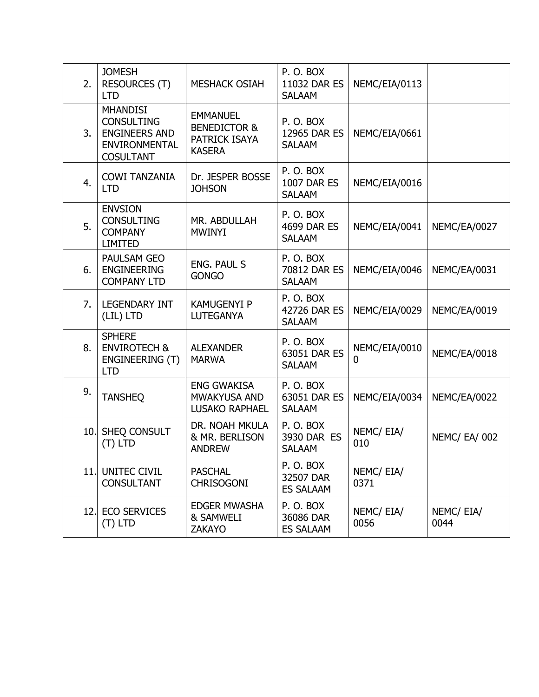| 2.  | <b>JOMESH</b><br><b>RESOURCES (T)</b><br><b>LTD</b>                                                      | <b>MESHACK OSIAH</b>                                                         | P.O.BOX<br>11032 DAR ES<br><b>SALAAM</b>       | NEMC/EIA/0113      |                      |
|-----|----------------------------------------------------------------------------------------------------------|------------------------------------------------------------------------------|------------------------------------------------|--------------------|----------------------|
| 3.  | <b>MHANDISI</b><br><b>CONSULTING</b><br><b>ENGINEERS AND</b><br><b>ENVIRONMENTAL</b><br><b>COSULTANT</b> | <b>EMMANUEL</b><br><b>BENEDICTOR &amp;</b><br>PATRICK ISAYA<br><b>KASERA</b> | P.O.BOX<br>12965 DAR ES<br><b>SALAAM</b>       | NEMC/EIA/0661      |                      |
| 4.  | <b>COWI TANZANIA</b><br><b>LTD</b>                                                                       | Dr. JESPER BOSSE<br><b>JOHSON</b>                                            | P.O.BOX<br><b>1007 DAR ES</b><br><b>SALAAM</b> | NEMC/EIA/0016      |                      |
| 5.  | <b>ENVSION</b><br><b>CONSULTING</b><br><b>COMPANY</b><br><b>LIMITED</b>                                  | MR. ABDULLAH<br><b>MWINYI</b>                                                | P.O.BOX<br>4699 DAR ES<br><b>SALAAM</b>        | NEMC/EIA/0041      | NEMC/EA/0027         |
| 6.  | PAULSAM GEO<br><b>ENGINEERING</b><br><b>COMPANY LTD</b>                                                  | <b>ENG. PAUL S</b><br><b>GONGO</b>                                           | P.O.BOX<br>70812 DAR ES<br><b>SALAAM</b>       | NEMC/EIA/0046      | NEMC/EA/0031         |
| 7.  | <b>LEGENDARY INT</b><br>(LIL) LTD                                                                        | <b>KAMUGENYI P</b><br><b>LUTEGANYA</b>                                       | P.O.BOX<br>42726 DAR ES<br><b>SALAAM</b>       | NEMC/EIA/0029      | NEMC/EA/0019         |
| 8.  | <b>SPHERE</b><br><b>ENVIROTECH &amp;</b><br>ENGINEERING (T)<br><b>LTD</b>                                | <b>ALEXANDER</b><br><b>MARWA</b>                                             | P.O.BOX<br>63051 DAR ES<br><b>SALAAM</b>       | NEMC/EIA/0010<br>0 | NEMC/EA/0018         |
| 9.  | <b>TANSHEQ</b>                                                                                           | <b>ENG GWAKISA</b><br>MWAKYUSA AND<br><b>LUSAKO RAPHAEL</b>                  | P.O.BOX<br>63051 DAR ES<br><b>SALAAM</b>       | NEMC/EIA/0034      | NEMC/EA/0022         |
| 10. | SHEQ CONSULT<br>$(T)$ LTD                                                                                | DR. NOAH MKULA<br>& MR. BERLISON<br><b>ANDREW</b>                            | P.O.BOX<br>3930 DAR ES<br><b>SALAAM</b>        | NEMC/ EIA/<br>010  | <b>NEMC/ EA/ 002</b> |
|     | 11. UNITEC CIVIL<br><b>CONSULTANT</b>                                                                    | <b>PASCHAL</b><br><b>CHRISOGONI</b>                                          | P.O.BOX<br>32507 DAR<br><b>ES SALAAM</b>       | NEMC/EIA/<br>0371  |                      |
|     | 12. ECO SERVICES<br>$(T)$ LTD                                                                            | <b>EDGER MWASHA</b><br>& SAMWELI<br><b>ZAKAYO</b>                            | P.O.BOX<br>36086 DAR<br><b>ES SALAAM</b>       | NEMC/EIA/<br>0056  | NEMC/EIA/<br>0044    |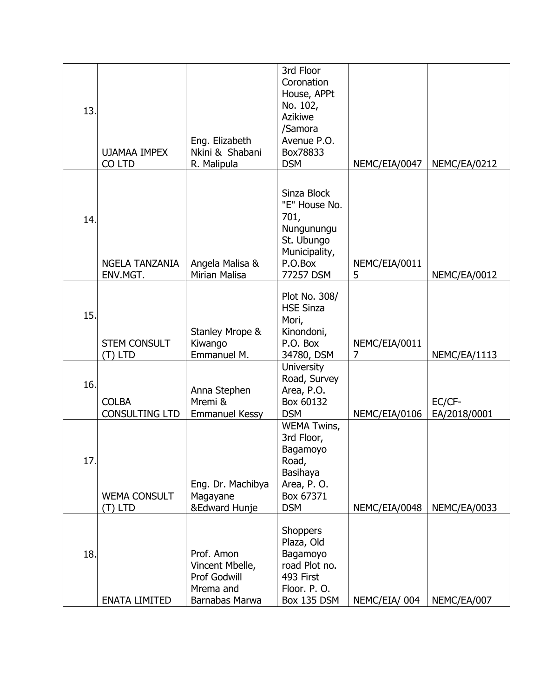| 13. | <b>UJAMAA IMPEX</b><br>CO LTD         | Eng. Elizabeth<br>Nkini & Shabani<br>R. Malipula                             | 3rd Floor<br>Coronation<br>House, APPt<br>No. 102,<br><b>Azikiwe</b><br>/Samora<br>Avenue P.O.<br>Box78833<br><b>DSM</b> | NEMC/EIA/0047                   | NEMC/EA/0212           |
|-----|---------------------------------------|------------------------------------------------------------------------------|--------------------------------------------------------------------------------------------------------------------------|---------------------------------|------------------------|
| 14. | <b>NGELA TANZANIA</b><br>ENV.MGT.     | Angela Malisa &<br><b>Mirian Malisa</b>                                      | Sinza Block<br>"E" House No.<br>701,<br>Nungunungu<br>St. Ubungo<br>Municipality,<br>P.O.Box<br>77257 DSM                | NEMC/EIA/0011<br>5              | NEMC/EA/0012           |
| 15. | <b>STEM CONSULT</b><br>$(T)$ LTD      | Stanley Mrope &<br>Kiwango<br>Emmanuel M.                                    | Plot No. 308/<br><b>HSE Sinza</b><br>Mori,<br>Kinondoni,<br>P.O. Box<br>34780, DSM                                       | NEMC/EIA/0011<br>$\overline{7}$ | NEMC/EA/1113           |
| 16. | <b>COLBA</b><br><b>CONSULTING LTD</b> | Anna Stephen<br>Mremi &<br><b>Emmanuel Kessy</b>                             | <b>University</b><br>Road, Survey<br>Area, P.O.<br>Box 60132<br><b>DSM</b>                                               | NEMC/EIA/0106                   | EC/CF-<br>EA/2018/0001 |
| 17. | <b>WEMA CONSULT</b><br>(T) LTD        | Eng. Dr. Machibya<br>Magayane<br>&Edward Hunje                               | <b>WEMA Twins,</b><br>3rd Floor,<br>Bagamoyo<br>Road,<br>Basihaya<br>Area, P.O.<br>Box 67371<br><b>DSM</b>               | NEMC/EIA/0048                   | NEMC/EA/0033           |
| 18. | <b>ENATA LIMITED</b>                  | Prof. Amon<br>Vincent Mbelle,<br>Prof Godwill<br>Mrema and<br>Barnabas Marwa | <b>Shoppers</b><br>Plaza, Old<br>Bagamoyo<br>road Plot no.<br>493 First<br>Floor. P.O.<br>Box 135 DSM                    | NEMC/EIA/004                    | NEMC/EA/007            |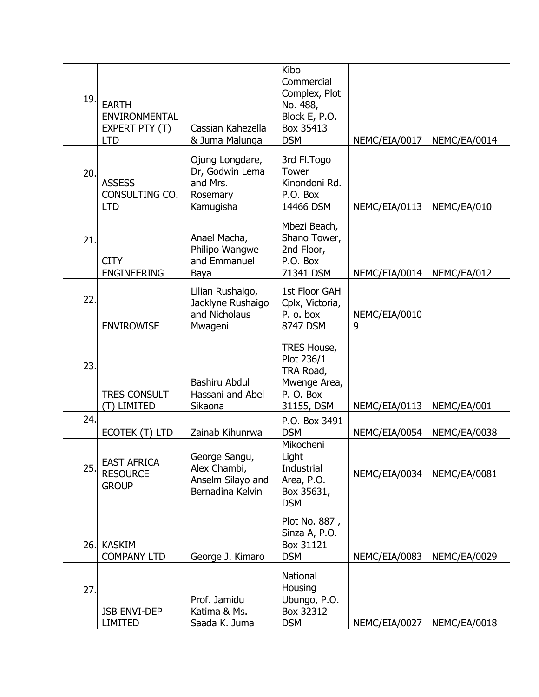| 19.  | <b>EARTH</b><br><b>ENVIRONMENTAL</b><br>EXPERT PTY (T)<br><b>LTD</b> | Cassian Kahezella<br>& Juma Malunga                                     | Kibo<br>Commercial<br>Complex, Plot<br>No. 488,<br>Block E, P.O.<br>Box 35413<br><b>DSM</b> | NEMC/EIA/0017      | NEMC/EA/0014 |
|------|----------------------------------------------------------------------|-------------------------------------------------------------------------|---------------------------------------------------------------------------------------------|--------------------|--------------|
| 20.  | <b>ASSESS</b><br>CONSULTING CO.<br><b>LTD</b>                        | Ojung Longdare,<br>Dr, Godwin Lema<br>and Mrs.<br>Rosemary<br>Kamugisha | 3rd Fl.Togo<br>Tower<br>Kinondoni Rd.<br>P.O. Box<br>14466 DSM                              | NEMC/EIA/0113      | NEMC/EA/010  |
| 21.  | <b>CITY</b><br><b>ENGINEERING</b>                                    | Anael Macha,<br>Philipo Wangwe<br>and Emmanuel<br>Baya                  | Mbezi Beach,<br>Shano Tower,<br>2nd Floor,<br>P.O. Box<br>71341 DSM                         | NEMC/EIA/0014      | NEMC/EA/012  |
| 22.  | <b>ENVIROWISE</b>                                                    | Lilian Rushaigo,<br>Jacklyne Rushaigo<br>and Nicholaus<br>Mwageni       | 1st Floor GAH<br>Cplx, Victoria,<br>P. o. box<br>8747 DSM                                   | NEMC/EIA/0010<br>9 |              |
| 23.  | <b>TRES CONSULT</b><br>(T) LIMITED                                   | <b>Bashiru Abdul</b><br>Hassani and Abel<br>Sikaona                     | TRES House,<br>Plot 236/1<br>TRA Road,<br>Mwenge Area,<br>P.O. Box<br>31155, DSM            | NEMC/EIA/0113      | NEMC/EA/001  |
| 24.  | ECOTEK (T) LTD                                                       | Zainab Kihunrwa                                                         | P.O. Box 3491<br><b>DSM</b>                                                                 | NEMC/EIA/0054      | NEMC/EA/0038 |
| 25.  | <b>EAST AFRICA</b><br><b>RESOURCE</b><br><b>GROUP</b>                | George Sangu,<br>Alex Chambi,<br>Anselm Silayo and<br>Bernadina Kelvin  | Mikocheni<br>Light<br>Industrial<br>Area, P.O.<br>Box 35631,<br><b>DSM</b>                  | NEMC/EIA/0034      | NEMC/EA/0081 |
| 26.1 | KASKIM<br><b>COMPANY LTD</b>                                         | George J. Kimaro                                                        | Plot No. 887,<br>Sinza A, P.O.<br>Box 31121<br><b>DSM</b>                                   | NEMC/EIA/0083      | NEMC/EA/0029 |
| 27.  | <b>JSB ENVI-DEP</b><br><b>LIMITED</b>                                | Prof. Jamidu<br>Katima & Ms.<br>Saada K. Juma                           | National<br>Housing<br>Ubungo, P.O.<br>Box 32312<br><b>DSM</b>                              | NEMC/EIA/0027      | NEMC/EA/0018 |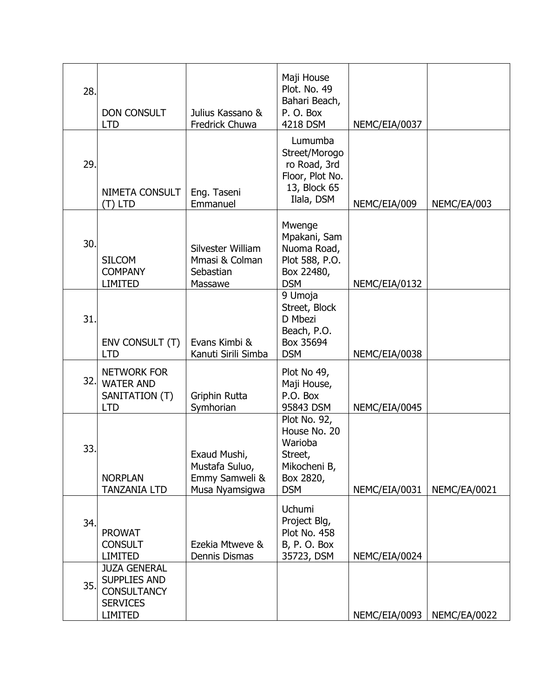| 28. | <b>DON CONSULT</b><br><b>LTD</b>                                                                      | Julius Kassano &<br>Fredrick Chuwa                                 | Maji House<br>Plot. No. 49<br>Bahari Beach,<br>P.O. Box<br>4218 DSM                           | NEMC/EIA/0037 |              |
|-----|-------------------------------------------------------------------------------------------------------|--------------------------------------------------------------------|-----------------------------------------------------------------------------------------------|---------------|--------------|
| 29. | NIMETA CONSULT<br>(T) LTD                                                                             | Eng. Taseni<br>Emmanuel                                            | Lumumba<br>Street/Morogo<br>ro Road, 3rd<br>Floor, Plot No.<br>13, Block 65<br>Ilala, DSM     | NEMC/EIA/009  | NEMC/EA/003  |
| 30. | <b>SILCOM</b><br><b>COMPANY</b><br><b>LIMITED</b>                                                     | Silvester William<br>Mmasi & Colman<br>Sebastian<br>Massawe        | Mwenge<br>Mpakani, Sam<br>Nuoma Road,<br>Plot 588, P.O.<br>Box 22480,<br><b>DSM</b>           | NEMC/EIA/0132 |              |
| 31. | ENV CONSULT (T)<br><b>LTD</b>                                                                         | Evans Kimbi &<br>Kanuti Sirili Simba                               | 9 Umoja<br>Street, Block<br>D Mbezi<br>Beach, P.O.<br>Box 35694<br><b>DSM</b>                 | NEMC/EIA/0038 |              |
| 32. | <b>NETWORK FOR</b><br><b>WATER AND</b><br>SANITATION (T)<br><b>LTD</b>                                | Griphin Rutta<br>Symhorian                                         | Plot No 49,<br>Maji House,<br>P.O. Box<br>95843 DSM                                           | NEMC/EIA/0045 |              |
| 33. | <b>NORPLAN</b><br><b>TANZANIA LTD</b>                                                                 | Exaud Mushi,<br>Mustafa Suluo,<br>Emmy Samweli &<br>Musa Nyamsigwa | Plot No. 92,<br>House No. 20<br>Warioba<br>Street,<br>Mikocheni B,<br>Box 2820,<br><b>DSM</b> | NEMC/EIA/0031 | NEMC/EA/0021 |
| 34. | <b>PROWAT</b><br><b>CONSULT</b><br><b>LIMITED</b>                                                     | Ezekia Mtweve &<br>Dennis Dismas                                   | <b>Uchumi</b><br>Project Blg,<br>Plot No. 458<br>B, P. O. Box<br>35723, DSM                   | NEMC/EIA/0024 |              |
| 35. | <b>JUZA GENERAL</b><br><b>SUPPLIES AND</b><br><b>CONSULTANCY</b><br><b>SERVICES</b><br><b>LIMITED</b> |                                                                    |                                                                                               | NEMC/EIA/0093 | NEMC/EA/0022 |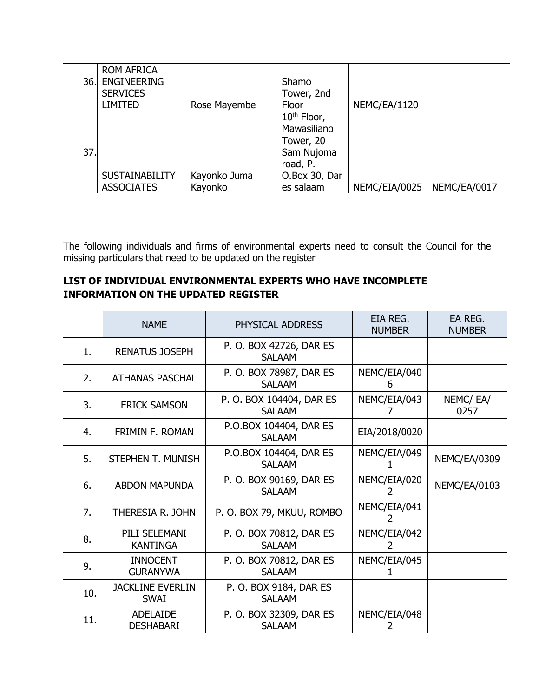| 36. | <b>ROM AFRICA</b><br><b>ENGINEERING</b><br><b>SERVICES</b><br><b>LIMITED</b> | Rose Mayembe            | Shamo<br>Tower, 2nd<br>Floor                                                                                | NEMC/EA/1120  |              |
|-----|------------------------------------------------------------------------------|-------------------------|-------------------------------------------------------------------------------------------------------------|---------------|--------------|
| 37. | <b>SUSTAINABILITY</b><br><b>ASSOCIATES</b>                                   | Kayonko Juma<br>Kayonko | 10 <sup>th</sup> Floor,<br>Mawasiliano<br>Tower, 20<br>Sam Nujoma<br>road, P.<br>O.Box 30, Dar<br>es salaam | NEMC/EIA/0025 | NEMC/EA/0017 |

The following individuals and firms of environmental experts need to consult the Council for the missing particulars that need to be updated on the register

## **LIST OF INDIVIDUAL ENVIRONMENTAL EXPERTS WHO HAVE INCOMPLETE INFORMATION ON THE UPDATED REGISTER**

|     | <b>NAME</b>                            | PHYSICAL ADDRESS                          | EIA REG.<br><b>NUMBER</b> | EA REG.<br><b>NUMBER</b> |
|-----|----------------------------------------|-------------------------------------------|---------------------------|--------------------------|
| 1.  | <b>RENATUS JOSEPH</b>                  | P. O. BOX 42726, DAR ES<br><b>SALAAM</b>  |                           |                          |
| 2.  | <b>ATHANAS PASCHAL</b>                 | P. O. BOX 78987, DAR ES<br><b>SALAAM</b>  | NEMC/EIA/040<br>6         |                          |
| 3.  | <b>ERICK SAMSON</b>                    | P. O. BOX 104404, DAR ES<br><b>SALAAM</b> | NEMC/EIA/043              | NEMC/EA/<br>0257         |
| 4.  | <b>FRIMIN F. ROMAN</b>                 | P.O.BOX 104404, DAR ES<br><b>SALAAM</b>   | EIA/2018/0020             |                          |
| 5.  | STEPHEN T. MUNISH                      | P.O.BOX 104404, DAR ES<br><b>SALAAM</b>   | NEMC/EIA/049              | <b>NEMC/EA/0309</b>      |
| 6.  | <b>ABDON MAPUNDA</b>                   | P. O. BOX 90169, DAR ES<br><b>SALAAM</b>  | NEMC/EIA/020              | NEMC/EA/0103             |
| 7.  | THERESIA R. JOHN                       | P. O. BOX 79, MKUU, ROMBO                 | NEMC/EIA/041              |                          |
| 8.  | PILI SELEMANI<br><b>KANTINGA</b>       | P. O. BOX 70812, DAR ES<br><b>SALAAM</b>  | NEMC/EIA/042<br>2         |                          |
| 9.  | <b>INNOCENT</b><br><b>GURANYWA</b>     | P. O. BOX 70812, DAR ES<br><b>SALAAM</b>  | NEMC/EIA/045              |                          |
| 10. | <b>JACKLINE EVERLIN</b><br><b>SWAI</b> | P. O. BOX 9184, DAR ES<br><b>SALAAM</b>   |                           |                          |
| 11. | <b>ADELAIDE</b><br><b>DESHABARI</b>    | P. O. BOX 32309, DAR ES<br><b>SALAAM</b>  | NEMC/EIA/048              |                          |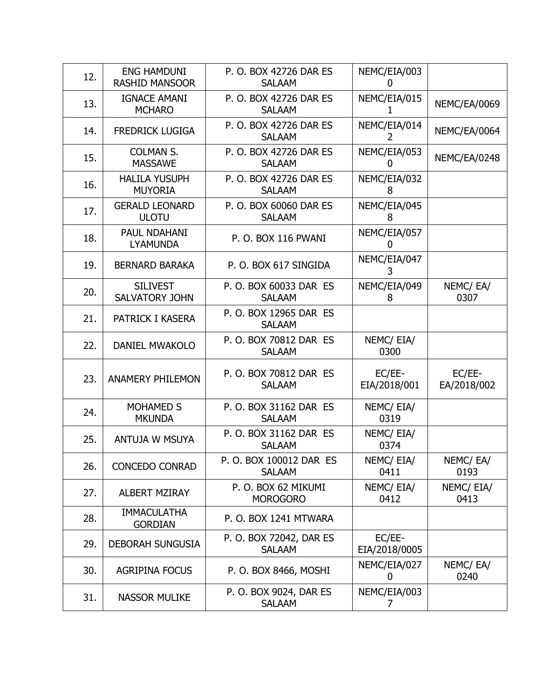| 12. | <b>ENG HAMDUNI</b><br><b>RASHID MANSOOR</b> | P. O. BOX 42726 DAR ES<br><b>SALAAM</b>  | NEMC/EIA/003<br>0       |                       |
|-----|---------------------------------------------|------------------------------------------|-------------------------|-----------------------|
| 13. | <b>IGNACE AMANI</b><br><b>MCHARO</b>        | P. O. BOX 42726 DAR ES<br><b>SALAAM</b>  | NEMC/EIA/015<br>1.      | NEMC/EA/0069          |
| 14. | <b>FREDRICK LUGIGA</b>                      | P. O. BOX 42726 DAR ES<br><b>SALAAM</b>  | NEMC/EIA/014<br>2       | NEMC/EA/0064          |
| 15. | <b>COLMAN S.</b><br><b>MASSAWE</b>          | P. O. BOX 42726 DAR ES<br><b>SALAAM</b>  | NEMC/EIA/053<br>O       | NEMC/EA/0248          |
| 16. | <b>HALILA YUSUPH</b><br><b>MUYORIA</b>      | P. O. BOX 42726 DAR ES<br><b>SALAAM</b>  | NEMC/EIA/032<br>8       |                       |
| 17. | <b>GERALD LEONARD</b><br><b>ULOTU</b>       | P. O. BOX 60060 DAR ES<br><b>SALAAM</b>  | NEMC/EIA/045<br>8       |                       |
| 18. | PAUL NDAHANI<br><b>LYAMUNDA</b>             | P.O. BOX 116 PWANI                       | NEMC/EIA/057<br>0       |                       |
| 19. | <b>BERNARD BARAKA</b>                       | P. O. BOX 617 SINGIDA                    | NEMC/EIA/047<br>3       |                       |
| 20. | <b>SILIVEST</b><br><b>SALVATORY JOHN</b>    | P. O. BOX 60033 DAR ES<br><b>SALAAM</b>  | NEMC/EIA/049<br>8       | NEMC/EA/<br>0307      |
| 21. | PATRICK I KASERA                            | P. O. BOX 12965 DAR ES<br><b>SALAAM</b>  |                         |                       |
| 22. | <b>DANIEL MWAKOLO</b>                       | P. O. BOX 70812 DAR ES<br><b>SALAAM</b>  | NEMC/ EIA/<br>0300      |                       |
| 23. | <b>ANAMERY PHILEMON</b>                     | P. O. BOX 70812 DAR ES<br><b>SALAAM</b>  | EC/EE-<br>EIA/2018/001  | EC/EE-<br>EA/2018/002 |
| 24. | <b>MOHAMED S</b><br><b>MKUNDA</b>           | P. O. BOX 31162 DAR ES<br><b>SALAAM</b>  | NEMC/EIA/<br>0319       |                       |
| 25. | <b>ANTUJA W MSUYA</b>                       | P. O. BOX 31162 DAR ES<br><b>SALAAM</b>  | NEMC/EIA/<br>0374       |                       |
| 26. | <b>CONCEDO CONRAD</b>                       | P. O. BOX 100012 DAR ES<br><b>SALAAM</b> | NEMC/ EIA/<br>0411      | NEMC/EA/<br>0193      |
| 27. | <b>ALBERT MZIRAY</b>                        | P.O. BOX 62 MIKUMI<br><b>MOROGORO</b>    | NEMC/ EIA/<br>0412      | NEMC/ EIA/<br>0413    |
| 28. | <b>IMMACULATHA</b><br><b>GORDIAN</b>        | P. O. BOX 1241 MTWARA                    |                         |                       |
| 29. | <b>DEBORAH SUNGUSIA</b>                     | P. O. BOX 72042, DAR ES<br><b>SALAAM</b> | EC/EE-<br>EIA/2018/0005 |                       |
| 30. | <b>AGRIPINA FOCUS</b>                       | P. O. BOX 8466, MOSHI                    | NEMC/EIA/027<br>0       | NEMC/EA/<br>0240      |
| 31. | <b>NASSOR MULIKE</b>                        | P. O. BOX 9024, DAR ES<br><b>SALAAM</b>  | NEMC/EIA/003<br>7       |                       |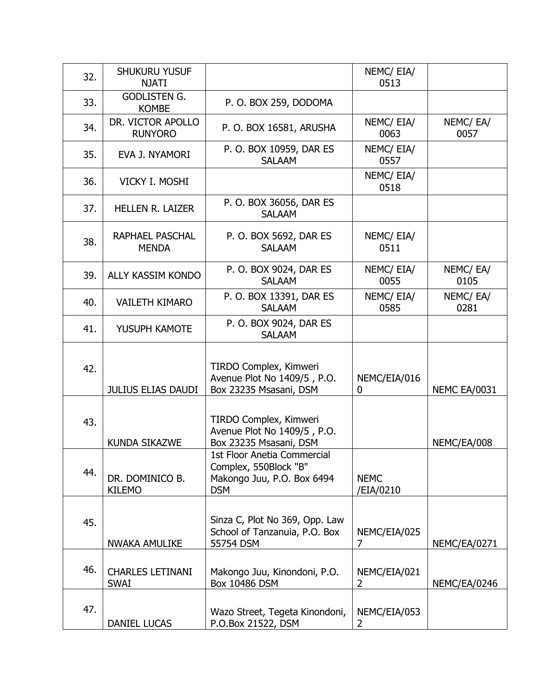| 32. | <b>SHUKURU YUSUF</b><br><b>NJATI</b>   |                                                                                                  | NEMC/ EIA/<br>0513             |                     |
|-----|----------------------------------------|--------------------------------------------------------------------------------------------------|--------------------------------|---------------------|
| 33. | <b>GODLISTEN G.</b><br><b>KOMBE</b>    | P.O. BOX 259, DODOMA                                                                             |                                |                     |
| 34. | DR. VICTOR APOLLO<br><b>RUNYORO</b>    | P. O. BOX 16581, ARUSHA                                                                          | NEMC/ EIA/<br>0063             | NEMC/EA/<br>0057    |
| 35. | EVA J. NYAMORI                         | P. O. BOX 10959, DAR ES<br><b>SALAAM</b>                                                         | NEMC/ EIA/<br>0557             |                     |
| 36. | VICKY I. MOSHI                         |                                                                                                  | NEMC/ EIA/<br>0518             |                     |
| 37. | <b>HELLEN R. LAIZER</b>                | P. O. BOX 36056, DAR ES<br><b>SALAAM</b>                                                         |                                |                     |
| 38. | RAPHAEL PASCHAL<br><b>MENDA</b>        | P. O. BOX 5692, DAR ES<br><b>SALAAM</b>                                                          | NEMC/ EIA/<br>0511             |                     |
| 39. | ALLY KASSIM KONDO                      | P. O. BOX 9024, DAR ES<br><b>SALAAM</b>                                                          | NEMC/ EIA/<br>0055             | NEMC/EA/<br>0105    |
| 40. | <b>VAILETH KIMARO</b>                  | P. O. BOX 13391, DAR ES<br><b>SALAAM</b>                                                         | NEMC/ EIA/<br>0585             | NEMC/EA/<br>0281    |
| 41. | YUSUPH KAMOTE                          | P. O. BOX 9024, DAR ES<br><b>SALAAM</b>                                                          |                                |                     |
| 42. | <b>JULIUS ELIAS DAUDI</b>              | TIRDO Complex, Kimweri<br>Avenue Plot No 1409/5, P.O.<br>Box 23235 Msasani, DSM                  | NEMC/EIA/016<br>0              | <b>NEMC EA/0031</b> |
| 43. | <b>KUNDA SIKAZWE</b>                   | TIRDO Complex, Kimweri<br>Avenue Plot No 1409/5, P.O.<br>Box 23235 Msasani, DSM                  |                                | NEMC/EA/008         |
| 44. | DR. DOMINICO B.<br><b>KILEMO</b>       | 1st Floor Anetia Commercial<br>Complex, 550Block "B"<br>Makongo Juu, P.O. Box 6494<br><b>DSM</b> | <b>NEMC</b><br>/EIA/0210       |                     |
| 45. | <b>NWAKA AMULIKE</b>                   | Sinza C, Plot No 369, Opp. Law<br>School of Tanzanuia, P.O. Box<br>55754 DSM                     | NEMC/EIA/025<br>7              | NEMC/EA/0271        |
| 46. | <b>CHARLES LETINANI</b><br><b>SWAI</b> | Makongo Juu, Kinondoni, P.O.<br>Box 10486 DSM                                                    | NEMC/EIA/021<br>$\overline{2}$ | NEMC/EA/0246        |
| 47. | DANIEL LUCAS                           | Wazo Street, Tegeta Kinondoni,<br>P.O.Box 21522, DSM                                             | NEMC/EIA/053<br>2              |                     |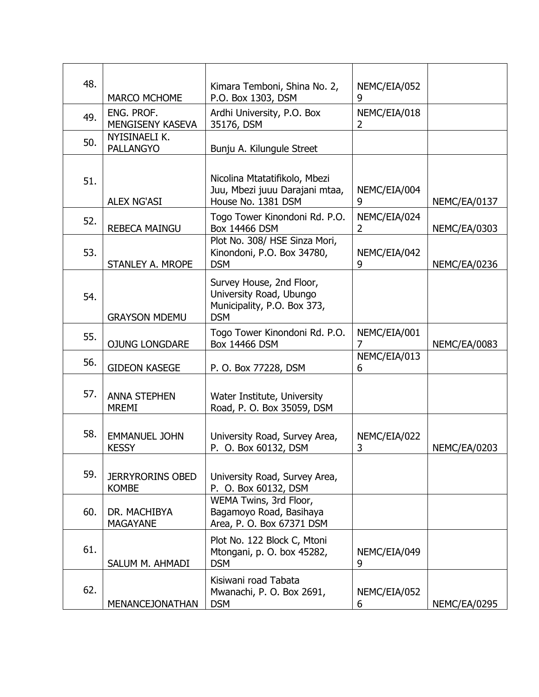| 48. |                                                                                | Kimara Temboni, Shina No. 2,                                                                     | NEMC/EIA/052                   |                     |
|-----|--------------------------------------------------------------------------------|--------------------------------------------------------------------------------------------------|--------------------------------|---------------------|
|     | <b>MARCO MCHOME</b>                                                            | P.O. Box 1303, DSM                                                                               | 9                              |                     |
| 49. | ENG. PROF.<br>MENGISENY KASEVA                                                 | Ardhi University, P.O. Box<br>35176, DSM                                                         | NEMC/EIA/018<br>$\overline{2}$ |                     |
| 50. | NYISINAELI K.<br><b>PALLANGYO</b>                                              | Bunju A. Kilungule Street                                                                        |                                |                     |
| 51. | <b>ALEX NG'ASI</b>                                                             | Nicolina Mtatatifikolo, Mbezi<br>Juu, Mbezi juuu Darajani mtaa,<br>House No. 1381 DSM            | NEMC/EIA/004<br>9              | NEMC/EA/0137        |
| 52. | <b>REBECA MAINGU</b>                                                           | Togo Tower Kinondoni Rd. P.O.<br><b>Box 14466 DSM</b>                                            | NEMC/EIA/024<br>$\overline{2}$ | NEMC/EA/0303        |
| 53. | STANLEY A. MROPE                                                               | Plot No. 308/ HSE Sinza Mori,<br>Kinondoni, P.O. Box 34780,<br><b>DSM</b>                        | NEMC/EIA/042<br>9              | NEMC/EA/0236        |
| 54. | <b>GRAYSON MDEMU</b>                                                           | Survey House, 2nd Floor,<br>University Road, Ubungo<br>Municipality, P.O. Box 373,<br><b>DSM</b> |                                |                     |
| 55. | Togo Tower Kinondoni Rd. P.O.<br><b>Box 14466 DSM</b><br><b>OJUNG LONGDARE</b> |                                                                                                  | NEMC/EIA/001                   | NEMC/EA/0083        |
| 56. | <b>GIDEON KASEGE</b><br>P. O. Box 77228, DSM                                   |                                                                                                  | NEMC/EIA/013<br>6              |                     |
| 57. | <b>ANNA STEPHEN</b><br><b>MREMI</b>                                            | Water Institute, University<br>Road, P. O. Box 35059, DSM                                        |                                |                     |
| 58. | <b>EMMANUEL JOHN</b><br><b>KESSY</b>                                           | University Road, Survey Area,<br>P. O. Box 60132, DSM                                            | NEMC/EIA/022<br>3              | NEMC/EA/0203        |
| 59. | <b>JERRYRORINS OBED</b><br><b>KOMBE</b>                                        | University Road, Survey Area,<br>P. O. Box 60132, DSM                                            |                                |                     |
| 60. | DR. MACHIBYA<br><b>MAGAYANE</b>                                                | WEMA Twins, 3rd Floor,<br>Bagamoyo Road, Basihaya<br>Area, P. O. Box 67371 DSM                   |                                |                     |
| 61. | SALUM M. AHMADI                                                                | Plot No. 122 Block C, Mtoni<br>Mtongani, p. O. box 45282,<br><b>DSM</b>                          | NEMC/EIA/049<br>9              |                     |
| 62. | <b>MENANCEJONATHAN</b>                                                         | Kisiwani road Tabata<br>Mwanachi, P. O. Box 2691,<br><b>DSM</b>                                  | NEMC/EIA/052<br>6              | <b>NEMC/EA/0295</b> |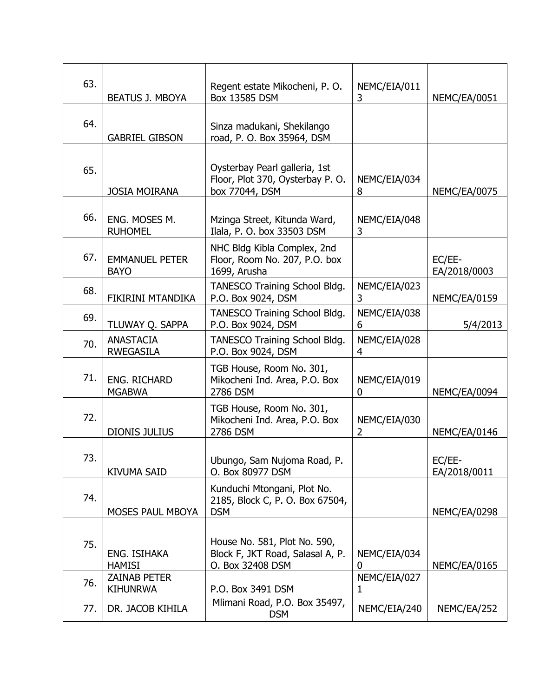| 63. |                                        | Regent estate Mikocheni, P.O.                                                        | NEMC/EIA/011      |                        |
|-----|----------------------------------------|--------------------------------------------------------------------------------------|-------------------|------------------------|
|     | BEATUS J. MBOYA                        | Box 13585 DSM                                                                        | 3                 | NEMC/EA/0051           |
| 64. | <b>GABRIEL GIBSON</b>                  | Sinza madukani, Shekilango<br>road, P. O. Box 35964, DSM                             |                   |                        |
| 65. | <b>JOSIA MOIRANA</b>                   | Oysterbay Pearl galleria, 1st<br>Floor, Plot 370, Oysterbay P. O.<br>box 77044, DSM  | NEMC/EIA/034<br>8 | NEMC/EA/0075           |
| 66. | ENG. MOSES M.<br><b>RUHOMEL</b>        | Mzinga Street, Kitunda Ward,<br>Ilala, P. O. box 33503 DSM                           | NEMC/EIA/048<br>3 |                        |
| 67. | <b>EMMANUEL PETER</b><br><b>BAYO</b>   | NHC Bldg Kibla Complex, 2nd<br>Floor, Room No. 207, P.O. box<br>1699, Arusha         |                   | EC/EE-<br>EA/2018/0003 |
| 68. | FIKIRINI MTANDIKA                      | TANESCO Training School Bldg.<br>P.O. Box 9024, DSM                                  | NEMC/EIA/023<br>3 | NEMC/EA/0159           |
| 69. | TLUWAY Q. SAPPA                        | TANESCO Training School Bldg.<br>P.O. Box 9024, DSM                                  | NEMC/EIA/038<br>6 | 5/4/2013               |
| 70. | <b>ANASTACIA</b><br><b>RWEGASILA</b>   | TANESCO Training School Bldg.<br>P.O. Box 9024, DSM                                  |                   |                        |
| 71. | ENG. RICHARD<br><b>MGABWA</b>          | TGB House, Room No. 301,<br>Mikocheni Ind. Area, P.O. Box<br>2786 DSM                | NEMC/EIA/019<br>0 | NEMC/EA/0094           |
| 72. | <b>DIONIS JULIUS</b>                   | TGB House, Room No. 301,<br>Mikocheni Ind. Area, P.O. Box<br>2786 DSM                | NEMC/EIA/030<br>2 | NEMC/EA/0146           |
| 73. | <b>KIVUMA SAID</b>                     | Ubungo, Sam Nujoma Road, P.<br>O. Box 80977 DSM                                      |                   | EC/EE-<br>EA/2018/0011 |
| 74. | MOSES PAUL MBOYA                       | Kunduchi Mtongani, Plot No.<br>2185, Block C, P. O. Box 67504,<br><b>DSM</b>         |                   | NEMC/EA/0298           |
| 75. | ENG. ISIHAKA<br><b>HAMISI</b>          | House No. 581, Plot No. 590,<br>Block F, JKT Road, Salasal A, P.<br>O. Box 32408 DSM | NEMC/EIA/034<br>0 | NEMC/EA/0165           |
| 76. | <b>ZAINAB PETER</b><br><b>KIHUNRWA</b> | P.O. Box 3491 DSM                                                                    | NEMC/EIA/027<br>1 |                        |
| 77. | DR. JACOB KIHILA                       | Mlimani Road, P.O. Box 35497,<br><b>DSM</b>                                          | NEMC/EIA/240      | NEMC/EA/252            |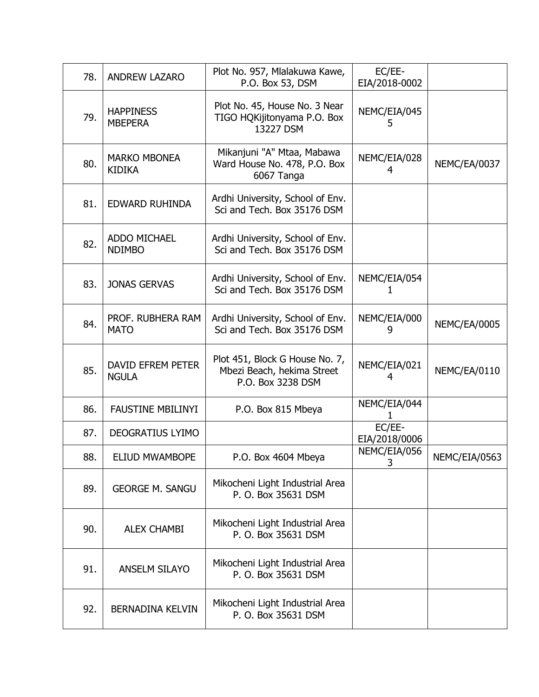| 78. | <b>ANDREW LAZARO</b>                 | Plot No. 957, Mlalakuwa Kawe,<br>P.O. Box 53, DSM                                 | EC/EE-<br>EIA/2018-0002 |               |
|-----|--------------------------------------|-----------------------------------------------------------------------------------|-------------------------|---------------|
| 79. | <b>HAPPINESS</b><br><b>MBEPERA</b>   | Plot No. 45, House No. 3 Near<br>TIGO HQKijitonyama P.O. Box<br>13227 DSM         | NEMC/EIA/045<br>5       |               |
| 80. | <b>MARKO MBONEA</b><br><b>KIDIKA</b> | Mikanjuni "A" Mtaa, Mabawa<br>Ward House No. 478, P.O. Box<br>6067 Tanga          | NEMC/EIA/028<br>4       | NEMC/EA/0037  |
| 81. | EDWARD RUHINDA                       | Ardhi University, School of Env.<br>Sci and Tech. Box 35176 DSM                   |                         |               |
| 82. | ADDO MICHAEL<br><b>NDIMBO</b>        | Ardhi University, School of Env.<br>Sci and Tech. Box 35176 DSM                   |                         |               |
| 83. | <b>JONAS GERVAS</b>                  | Ardhi University, School of Env.<br>Sci and Tech. Box 35176 DSM                   | NEMC/EIA/054            |               |
| 84. | PROF. RUBHERA RAM<br><b>MATO</b>     | Ardhi University, School of Env.<br>Sci and Tech. Box 35176 DSM                   | NEMC/EIA/000<br>9       | NEMC/EA/0005  |
| 85. | DAVID EFREM PETER<br><b>NGULA</b>    | Plot 451, Block G House No. 7,<br>Mbezi Beach, hekima Street<br>P.O. Box 3238 DSM | NEMC/EIA/021<br>4       | NEMC/EA/0110  |
| 86. | <b>FAUSTINE MBILINYI</b>             | P.O. Box 815 Mbeya                                                                | NEMC/EIA/044            |               |
| 87. | DEOGRATIUS LYIMO                     |                                                                                   | EC/EE-<br>EIA/2018/0006 |               |
| 88. | ELIUD MWAMBOPE                       | P.O. Box 4604 Mbeya                                                               | NEMC/EIA/056<br>3       | NEMC/EIA/0563 |
| 89. | <b>GEORGE M. SANGU</b>               | Mikocheni Light Industrial Area<br>P. O. Box 35631 DSM                            |                         |               |
| 90. | <b>ALEX CHAMBI</b>                   | Mikocheni Light Industrial Area<br>P. O. Box 35631 DSM                            |                         |               |
| 91. | <b>ANSELM SILAYO</b>                 | Mikocheni Light Industrial Area<br>P. O. Box 35631 DSM                            |                         |               |
| 92. | BERNADINA KELVIN                     | Mikocheni Light Industrial Area<br>P. O. Box 35631 DSM                            |                         |               |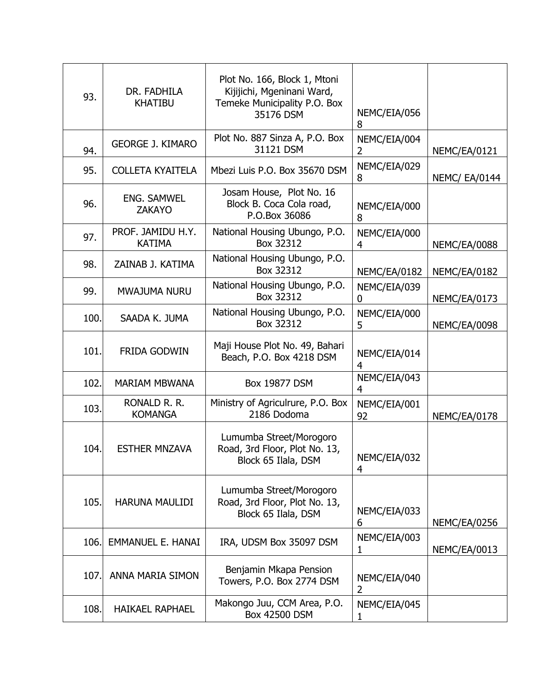| 93.  | DR. FADHILA<br><b>KHATIBU</b>       | Plot No. 166, Block 1, Mtoni<br>Kijijichi, Mgeninani Ward,<br>Temeke Municipality P.O. Box<br>35176 DSM | NEMC/EIA/056<br>8              |                      |
|------|-------------------------------------|---------------------------------------------------------------------------------------------------------|--------------------------------|----------------------|
| 94.  | <b>GEORGE J. KIMARO</b>             | Plot No. 887 Sinza A, P.O. Box<br>31121 DSM                                                             | NEMC/EIA/004<br>$\overline{2}$ | NEMC/EA/0121         |
| 95.  | <b>COLLETA KYAITELA</b>             | Mbezi Luis P.O. Box 35670 DSM                                                                           | NEMC/EIA/029<br>8              | <b>NEMC/ EA/0144</b> |
| 96.  | <b>ENG. SAMWEL</b><br><b>ZAKAYO</b> | Josam House, Plot No. 16<br>Block B. Coca Cola road,<br>P.O.Box 36086                                   | NEMC/EIA/000<br>8              |                      |
| 97.  | PROF. JAMIDU H.Y.<br><b>KATIMA</b>  | National Housing Ubungo, P.O.<br>Box 32312                                                              | NEMC/EIA/000<br>4              | NEMC/EA/0088         |
| 98.  | ZAINAB J. KATIMA                    | National Housing Ubungo, P.O.<br>Box 32312                                                              | NEMC/EA/0182                   | NEMC/EA/0182         |
| 99.  | MWAJUMA NURU                        | National Housing Ubungo, P.O.<br>Box 32312                                                              | NEMC/EIA/039<br>$\mathbf 0$    | NEMC/EA/0173         |
| 100. | SAADA K. JUMA                       | National Housing Ubungo, P.O.<br>Box 32312                                                              | NEMC/EIA/000<br>5              | NEMC/EA/0098         |
| 101. | FRIDA GODWIN                        | Maji House Plot No. 49, Bahari<br>Beach, P.O. Box 4218 DSM                                              | NEMC/EIA/014<br>4              |                      |
| 102. | <b>MARIAM MBWANA</b>                | <b>Box 19877 DSM</b>                                                                                    | NEMC/EIA/043<br>4              |                      |
| 103. | RONALD R. R.<br><b>KOMANGA</b>      | Ministry of Agriculrure, P.O. Box<br>2186 Dodoma                                                        |                                | NEMC/EA/0178         |
| 104. | <b>ESTHER MNZAVA</b>                | Lumumba Street/Morogoro<br>Road, 3rd Floor, Plot No. 13,<br>Block 65 Ilala, DSM                         | NEMC/EIA/032<br>4              |                      |
| 105. | <b>HARUNA MAULIDI</b>               | Lumumba Street/Morogoro<br>Road, 3rd Floor, Plot No. 13,<br>Block 65 Ilala, DSM                         | NEMC/EIA/033<br>6              | NEMC/EA/0256         |
| 106. | <b>EMMANUEL E. HANAI</b>            | IRA, UDSM Box 35097 DSM                                                                                 | NEMC/EIA/003<br>1              | NEMC/EA/0013         |
| 107. | ANNA MARIA SIMON                    | Benjamin Mkapa Pension<br>Towers, P.O. Box 2774 DSM                                                     | NEMC/EIA/040<br>$\overline{2}$ |                      |
| 108. | <b>HAIKAEL RAPHAEL</b>              | Makongo Juu, CCM Area, P.O.<br>Box 42500 DSM                                                            | NEMC/EIA/045<br>1              |                      |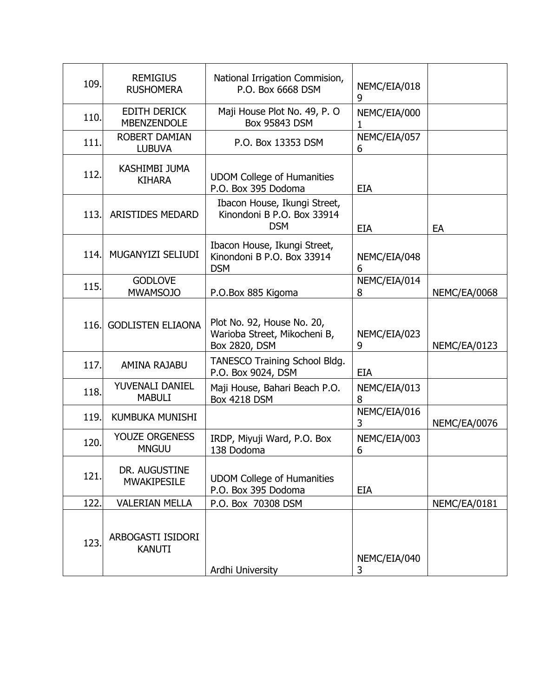| 109. | <b>REMIGIUS</b><br><b>RUSHOMERA</b>       | National Irrigation Commision,<br>P.O. Box 6668 DSM                         | NEMC/EIA/018<br>9 |              |
|------|-------------------------------------------|-----------------------------------------------------------------------------|-------------------|--------------|
| 110. | <b>EDITH DERICK</b><br><b>MBENZENDOLE</b> | Maji House Plot No. 49, P. O<br>Box 95843 DSM                               | NEMC/EIA/000<br>1 |              |
| 111. | <b>ROBERT DAMIAN</b><br><b>LUBUVA</b>     | P.O. Box 13353 DSM                                                          | NEMC/EIA/057<br>6 |              |
| 112. | <b>KASHIMBI JUMA</b><br><b>KIHARA</b>     | <b>UDOM College of Humanities</b><br>P.O. Box 395 Dodoma                    | <b>EIA</b>        |              |
| 113. | <b>ARISTIDES MEDARD</b>                   | Ibacon House, Ikungi Street,<br>Kinondoni B P.O. Box 33914<br><b>DSM</b>    | <b>EIA</b>        | EA           |
| 114. | MUGANYIZI SELIUDI                         | Ibacon House, Ikungi Street,<br>Kinondoni B P.O. Box 33914<br><b>DSM</b>    | NEMC/EIA/048<br>6 |              |
| 115. | <b>GODLOVE</b><br><b>MWAMSOJO</b>         | P.O.Box 885 Kigoma                                                          | NEMC/EIA/014<br>8 | NEMC/EA/0068 |
| 116. | <b>GODLISTEN ELIAONA</b>                  | Plot No. 92, House No. 20,<br>Warioba Street, Mikocheni B,<br>Box 2820, DSM | NEMC/EIA/023<br>9 | NEMC/EA/0123 |
| 117. | AMINA RAJABU                              | TANESCO Training School Bldg.<br>P.O. Box 9024, DSM                         | <b>EIA</b>        |              |
| 118. | YUVENALI DANIEL<br><b>MABULI</b>          | Maji House, Bahari Beach P.O.<br><b>Box 4218 DSM</b>                        | NEMC/EIA/013<br>8 |              |
| 119. | <b>KUMBUKA MUNISHI</b>                    |                                                                             | NEMC/EIA/016<br>3 | NEMC/EA/0076 |
| 120. | <b>YOUZE ORGENESS</b><br><b>MNGUU</b>     | IRDP, Miyuji Ward, P.O. Box<br>138 Dodoma                                   | NEMC/EIA/003<br>6 |              |
| 121. | DR. AUGUSTINE<br><b>MWAKIPESILE</b>       | <b>UDOM College of Humanities</b><br>P.O. Box 395 Dodoma                    | <b>EIA</b>        |              |
| 122. | <b>VALERIAN MELLA</b>                     | P.O. Box 70308 DSM                                                          |                   | NEMC/EA/0181 |
| 123. | ARBOGASTI ISIDORI<br><b>KANUTI</b>        | Ardhi University                                                            | NEMC/EIA/040<br>3 |              |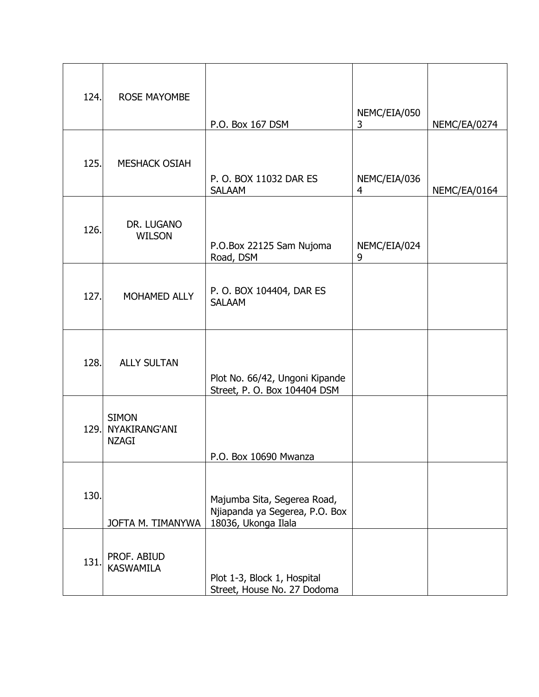| 124. | <b>ROSE MAYOMBE</b>                           | P.O. Box 167 DSM                                                                     | NEMC/EIA/050<br>3 | NEMC/EA/0274 |
|------|-----------------------------------------------|--------------------------------------------------------------------------------------|-------------------|--------------|
| 125. | <b>MESHACK OSIAH</b>                          | P. O. BOX 11032 DAR ES<br><b>SALAAM</b>                                              | NEMC/EIA/036<br>4 | NEMC/EA/0164 |
| 126. | DR. LUGANO<br><b>WILSON</b>                   | P.O.Box 22125 Sam Nujoma<br>Road, DSM                                                | NEMC/EIA/024<br>9 |              |
| 127. | MOHAMED ALLY                                  | P. O. BOX 104404, DAR ES<br><b>SALAAM</b>                                            |                   |              |
| 128. | <b>ALLY SULTAN</b>                            | Plot No. 66/42, Ungoni Kipande<br>Street, P. O. Box 104404 DSM                       |                   |              |
| 129. | <b>SIMON</b><br>NYAKIRANG'ANI<br><b>NZAGI</b> | P.O. Box 10690 Mwanza                                                                |                   |              |
| 130. | JOFTA M. TIMANYWA                             | Majumba Sita, Segerea Road,<br>Njiapanda ya Segerea, P.O. Box<br>18036, Ukonga Ilala |                   |              |
| 131. | PROF. ABIUD<br><b>KASWAMILA</b>               | Plot 1-3, Block 1, Hospital<br>Street, House No. 27 Dodoma                           |                   |              |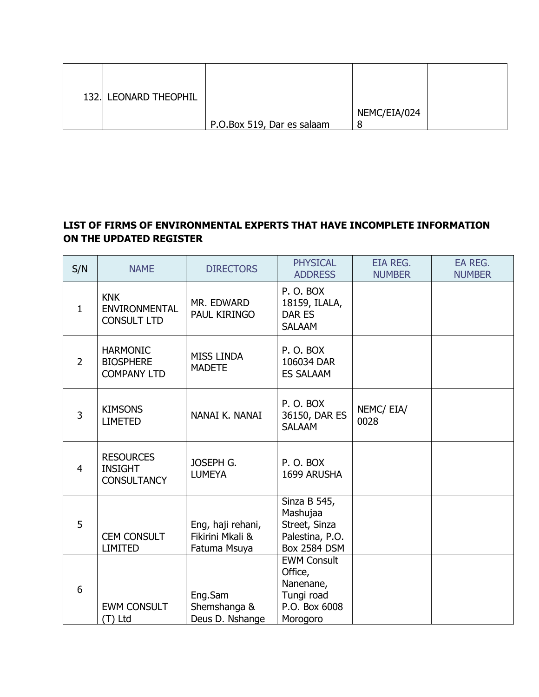| 132. LEONARD THEOPHIL |                            |              |  |
|-----------------------|----------------------------|--------------|--|
|                       | P.O.Box 519, Dar es salaam | NEMC/EIA/024 |  |

# **LIST OF FIRMS OF ENVIRONMENTAL EXPERTS THAT HAVE INCOMPLETE INFORMATION ON THE UPDATED REGISTER**

| S/N            | <b>NAME</b>                                               | <b>DIRECTORS</b>                                      | <b>PHYSICAL</b><br><b>ADDRESS</b>                                                     | <b>EIA REG.</b><br><b>NUMBER</b> | EA REG.<br><b>NUMBER</b> |
|----------------|-----------------------------------------------------------|-------------------------------------------------------|---------------------------------------------------------------------------------------|----------------------------------|--------------------------|
| $\mathbf{1}$   | <b>KNK</b><br><b>ENVIRONMENTAL</b><br><b>CONSULT LTD</b>  | MR. EDWARD<br>PAUL KIRINGO                            | P.O.BOX<br>18159, ILALA,<br>DAR ES<br><b>SALAAM</b>                                   |                                  |                          |
| $\overline{2}$ | <b>HARMONIC</b><br><b>BIOSPHERE</b><br><b>COMPANY LTD</b> | <b>MISS LINDA</b><br><b>MADETE</b>                    | P.O.BOX<br>106034 DAR<br><b>ES SALAAM</b>                                             |                                  |                          |
| 3              | <b>KIMSONS</b><br><b>LIMETED</b>                          | NANAI K. NANAI                                        | P.O.BOX<br>36150, DAR ES<br><b>SALAAM</b>                                             | NEMC/EIA/<br>0028                |                          |
| 4              | <b>RESOURCES</b><br><b>INSIGHT</b><br><b>CONSULTANCY</b>  | JOSEPH G.<br><b>LUMEYA</b>                            | P.O.BOX<br>1699 ARUSHA                                                                |                                  |                          |
| 5              | <b>CEM CONSULT</b><br><b>LIMITED</b>                      | Eng, haji rehani,<br>Fikirini Mkali &<br>Fatuma Msuya | Sinza B 545,<br>Mashujaa<br>Street, Sinza<br>Palestina, P.O.<br><b>Box 2584 DSM</b>   |                                  |                          |
| 6              | <b>EWM CONSULT</b><br>(T) Ltd                             | Eng.Sam<br>Shemshanga &<br>Deus D. Nshange            | <b>EWM Consult</b><br>Office,<br>Nanenane,<br>Tungi road<br>P.O. Box 6008<br>Morogoro |                                  |                          |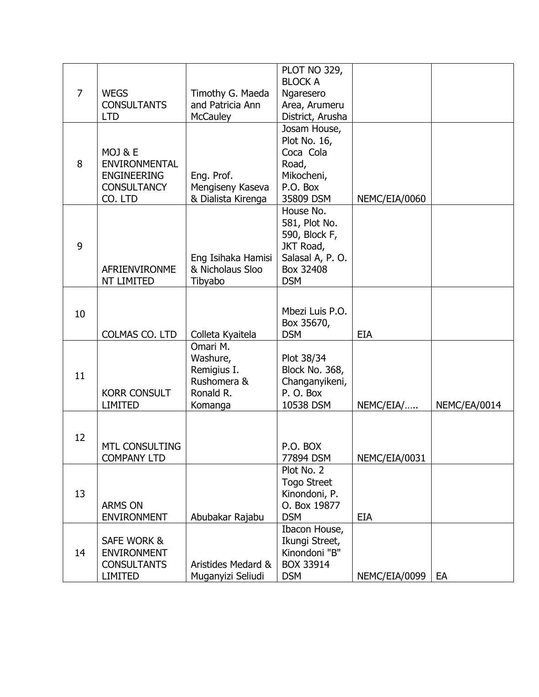|                |                                             |                    | PLOT NO 329,              |               |              |
|----------------|---------------------------------------------|--------------------|---------------------------|---------------|--------------|
|                |                                             |                    | <b>BLOCK A</b>            |               |              |
| $\overline{7}$ | <b>WEGS</b>                                 | Timothy G. Maeda   | Ngaresero                 |               |              |
|                | <b>CONSULTANTS</b>                          | and Patricia Ann   | Area, Arumeru             |               |              |
|                | <b>LTD</b>                                  | <b>McCauley</b>    | District, Arusha          |               |              |
|                |                                             |                    | Josam House,              |               |              |
|                |                                             |                    | Plot No. 16,<br>Coca Cola |               |              |
| 8              | MOJ & E<br><b>ENVIRONMENTAL</b>             |                    | Road,                     |               |              |
|                | <b>ENGINEERING</b>                          | Eng. Prof.         | Mikocheni,                |               |              |
|                | <b>CONSULTANCY</b>                          | Mengiseny Kaseva   | P.O. Box                  |               |              |
|                | CO. LTD                                     | & Dialista Kirenga | 35809 DSM                 | NEMC/EIA/0060 |              |
|                |                                             |                    | House No.                 |               |              |
|                |                                             |                    | 581, Plot No.             |               |              |
|                |                                             |                    | 590, Block F,             |               |              |
| 9              |                                             |                    | JKT Road,                 |               |              |
|                |                                             | Eng Isihaka Hamisi | Salasal A, P.O.           |               |              |
|                | AFRIENVIRONME                               | & Nicholaus Sloo   | Box 32408                 |               |              |
|                | NT LIMITED                                  | Tibyabo            | <b>DSM</b>                |               |              |
|                |                                             |                    |                           |               |              |
|                |                                             |                    |                           |               |              |
| 10             |                                             |                    | Mbezi Luis P.O.           |               |              |
|                | COLMAS CO. LTD                              | Colleta Kyaitela   | Box 35670,<br><b>DSM</b>  | <b>EIA</b>    |              |
|                |                                             | Omari M.           |                           |               |              |
|                |                                             | Washure,           | Plot 38/34                |               |              |
|                |                                             | Remigius I.        | <b>Block No. 368,</b>     |               |              |
| 11             |                                             | Rushomera &        | Changanyikeni,            |               |              |
|                | <b>KORR CONSULT</b>                         | Ronald R.          | P.O. Box                  |               |              |
|                | <b>LIMITED</b>                              | Komanga            | 10538 DSM                 | NEMC/EIA/     | NEMC/EA/0014 |
|                |                                             |                    |                           |               |              |
|                |                                             |                    |                           |               |              |
| 12             |                                             |                    |                           |               |              |
|                | <b>MTL CONSULTING</b><br><b>COMPANY LTD</b> |                    | P.O. BOX<br>77894 DSM     | NEMC/EIA/0031 |              |
|                |                                             |                    | Plot No. 2                |               |              |
|                |                                             |                    | <b>Togo Street</b>        |               |              |
| 13             |                                             |                    | Kinondoni, P.             |               |              |
|                | <b>ARMS ON</b>                              |                    | O. Box 19877              |               |              |
|                | <b>ENVIRONMENT</b>                          | Abubakar Rajabu    | <b>DSM</b>                | EIA           |              |
|                |                                             |                    | Ibacon House,             |               |              |
|                | SAFE WORK &                                 |                    | Ikungi Street,            |               |              |
| 14             | <b>ENVIRONMENT</b>                          |                    | Kinondoni "B"             |               |              |
|                | <b>CONSULTANTS</b>                          | Aristides Medard & | BOX 33914                 |               |              |
|                | <b>LIMITED</b>                              | Muganyizi Seliudi  | <b>DSM</b>                | NEMC/EIA/0099 | EA           |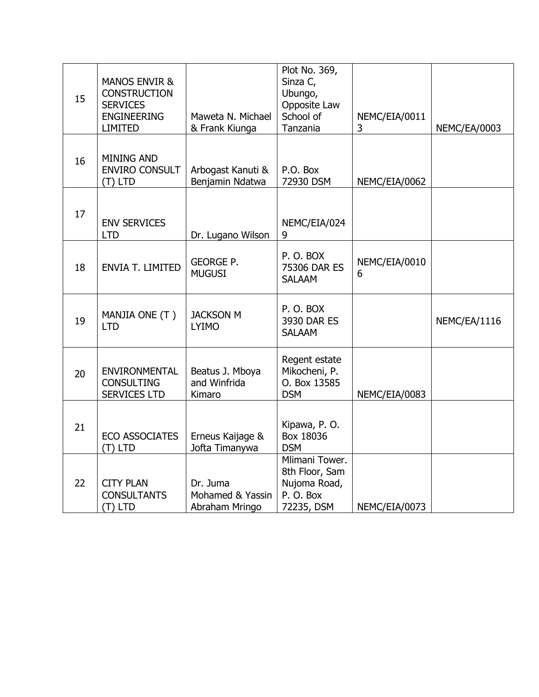| 15 | <b>MANOS ENVIR &amp;</b><br><b>CONSTRUCTION</b><br><b>SERVICES</b><br><b>ENGINEERING</b><br><b>LIMITED</b> | Maweta N. Michael<br>& Frank Kiunga            | Plot No. 369,<br>Sinza C,<br>Ubungo,<br>Opposite Law<br>School of<br>Tanzania | NEMC/EIA/0011<br>3 | NEMC/EA/0003 |
|----|------------------------------------------------------------------------------------------------------------|------------------------------------------------|-------------------------------------------------------------------------------|--------------------|--------------|
| 16 | <b>MINING AND</b><br><b>ENVIRO CONSULT</b><br>(T) LTD                                                      | Arbogast Kanuti &<br>Benjamin Ndatwa           | P.O. Box<br>72930 DSM                                                         | NEMC/EIA/0062      |              |
| 17 | <b>ENV SERVICES</b><br><b>LTD</b>                                                                          | Dr. Lugano Wilson                              | NEMC/EIA/024<br>9                                                             |                    |              |
| 18 | <b>ENVIA T. LIMITED</b>                                                                                    | <b>GEORGE P.</b><br><b>MUGUSI</b>              | P.O.BOX<br>75306 DAR ES<br><b>SALAAM</b>                                      | NEMC/EIA/0010<br>6 |              |
| 19 | MANJIA ONE (T)<br><b>LTD</b>                                                                               | <b>JACKSON M</b><br><b>LYIMO</b>               | P.O.BOX<br>3930 DAR ES<br><b>SALAAM</b>                                       |                    | NEMC/EA/1116 |
| 20 | <b>ENVIRONMENTAL</b><br><b>CONSULTING</b><br><b>SERVICES LTD</b>                                           | Beatus J. Mboya<br>and Winfrida<br>Kimaro      | Regent estate<br>Mikocheni, P.<br>O. Box 13585<br><b>DSM</b>                  | NEMC/EIA/0083      |              |
| 21 | <b>ECO ASSOCIATES</b><br>(T) LTD                                                                           | Erneus Kaijage &<br>Jofta Timanywa             | Kipawa, P. O.<br>Box 18036<br><b>DSM</b>                                      |                    |              |
| 22 | <b>CITY PLAN</b><br><b>CONSULTANTS</b><br>(T) LTD                                                          | Dr. Juma<br>Mohamed & Yassin<br>Abraham Mringo | Mlimani Tower.<br>8th Floor, Sam<br>Nujoma Road,<br>P.O. Box<br>72235, DSM    | NEMC/EIA/0073      |              |